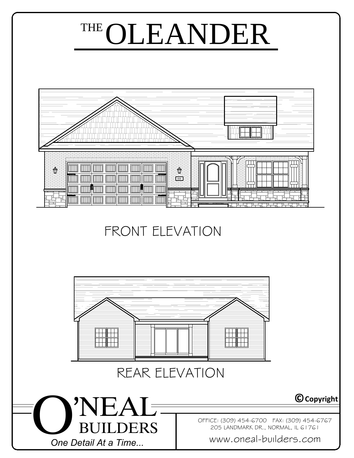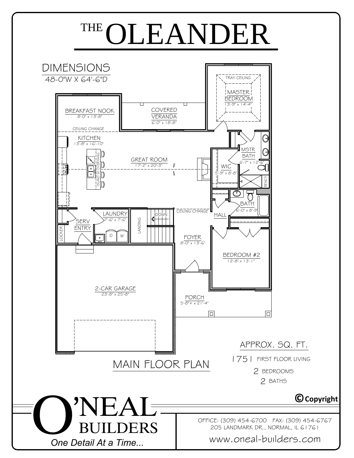